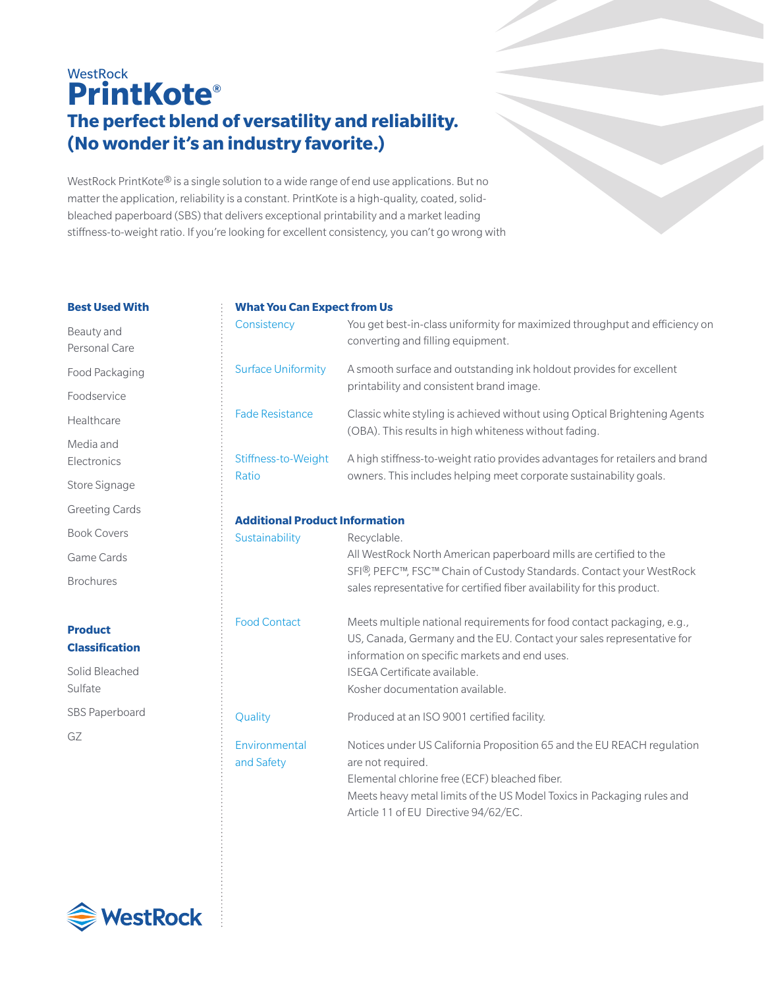# **WestRock PrintKote® The perfect blend of versatility and reliability. (No wonder it's an industry favorite.)**

WestRock PrintKote® is a single solution to a wide range of end use applications. But no matter the application, reliability is a constant. PrintKote is a high-quality, coated, solidbleached paperboard (SBS) that delivers exceptional printability and a market leading stiffness-to-weight ratio. If you're looking for excellent consistency, you can't go wrong with

#### **Best Used With**

Beauty and Personal Care Food Packaging Foodservice Healthcare Media and Electronics Store Signage Greeting Cards Book Covers Game Cards Brochures

## **Product Classification**

Solid Bleached Sulfate SBS Paperboard GZ

#### **What You Can Expect from Us**

| Consistency                           | You get best-in-class uniformity for maximized throughput and efficiency on<br>converting and filling equipment.                                   |
|---------------------------------------|----------------------------------------------------------------------------------------------------------------------------------------------------|
| <b>Surface Uniformity</b>             | A smooth surface and outstanding ink holdout provides for excellent<br>printability and consistent brand image.                                    |
| <b>Fade Resistance</b>                | Classic white styling is achieved without using Optical Brightening Agents<br>(OBA). This results in high whiteness without fading.                |
| Stiffness-to-Weight<br>Ratio          | A high stiffness-to-weight ratio provides advantages for retailers and brand<br>owners. This includes helping meet corporate sustainability goals. |
| <b>Additional Product Information</b> |                                                                                                                                                    |
| Sustainability                        | Recyclable.                                                                                                                                        |
|                                       | All WestRock North American paperboard mills are certified to the                                                                                  |
|                                       | SFI <sup>®</sup> , PEFC™, FSC™ Chain of Custody Standards. Contact your WestRock                                                                   |
|                                       | sales representative for certified fiber availability for this product.                                                                            |
| <b>Food Contact</b>                   | Meets multiple national requirements for food contact packaging, e.g.,                                                                             |

ISEGA Certificate available. Kosher documentation available. Quality Produced at an ISO 9001 certified facility. Environmental Notices under US California Proposition 65 and the EU REACH regulation and Safety are not required. Elemental chlorine free (ECF) bleached fiber. Meets heavy metal limits of the US Model Toxics in Packaging rules and Article 11 of EU Directive 94/62/EC.

information on specific markets and end uses.

US, Canada, Germany and the EU. Contact your sales representative for